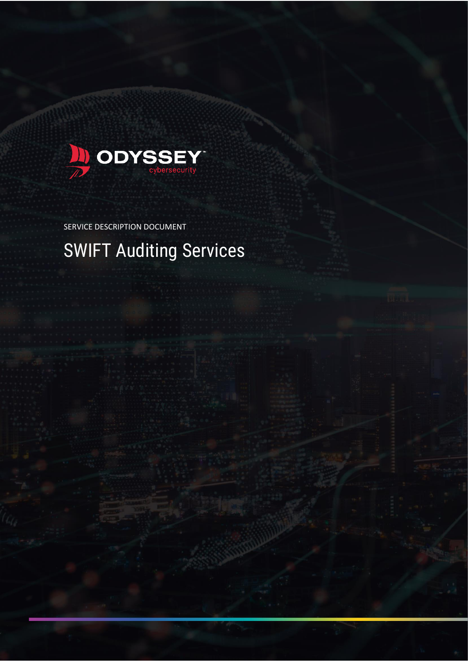

SERVICE DESCRIPTION DOCUMENT

# SWIFT Auditing Services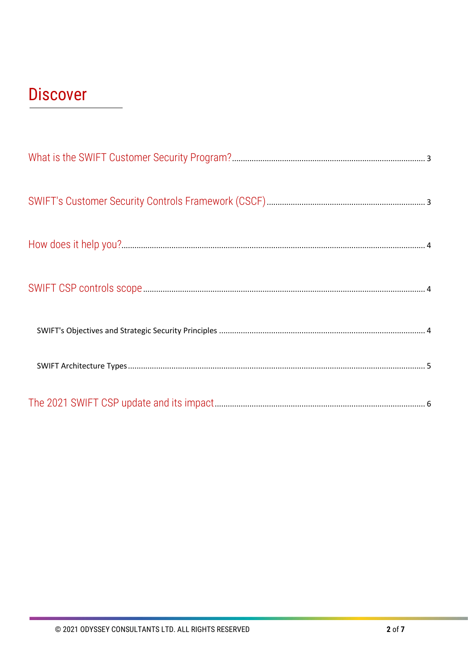# **Discover**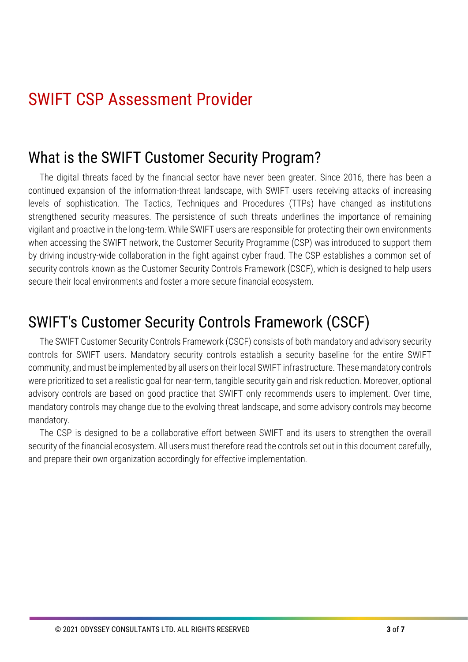## SWIFT CSP Assessment Provider

#### <span id="page-2-0"></span>What is the SWIFT Customer Security Program?

The digital threats faced by the financial sector have never been greater. Since 2016, there has been a continued expansion of the information-threat landscape, with SWIFT users receiving attacks of increasing levels of sophistication. The Tactics, Techniques and Procedures (TTPs) have changed as institutions strengthened security measures. The persistence of such threats underlines the importance of remaining vigilant and proactive in the long-term. While SWIFT users are responsible for protecting their own environments when accessing the SWIFT network, the Customer Security Programme (CSP) was introduced to support them by driving industry-wide collaboration in the fight against cyber fraud. The CSP establishes a common set of security controls known as the Customer Security Controls Framework (CSCF), which is designed to help users secure their local environments and foster a more secure financial ecosystem.

#### <span id="page-2-1"></span>SWIFT's Customer Security Controls Framework (CSCF)

The SWIFT Customer Security Controls Framework (CSCF) consists of both mandatory and advisory security controls for SWIFT users. Mandatory security controls establish a security baseline for the entire SWIFT community, and must be implemented by all users on their local SWIFT infrastructure. These mandatory controls were prioritized to set a realistic goal for near-term, tangible security gain and risk reduction. Moreover, optional advisory controls are based on good practice that SWIFT only recommends users to implement. Over time, mandatory controls may change due to the evolving threat landscape, and some advisory controls may become mandatory.

<span id="page-2-2"></span>The CSP is designed to be a collaborative effort between SWIFT and its users to strengthen the overall security of the financial ecosystem. All users must therefore read the controls set out in this document carefully, and prepare their own organization accordingly for effective implementation.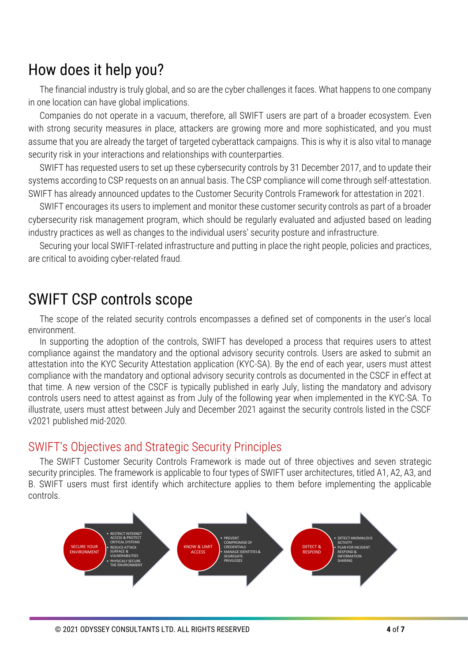### How does it help you?

The financial industry is truly global, and so are the cyber challenges it faces. What happens to one company in one location can have global implications.

Companies do not operate in a vacuum, therefore, all SWIFT users are part of a broader ecosystem. Even with strong security measures in place, attackers are growing more and more sophisticated, and you must assume that you are already the target of targeted cyberattack campaigns. This is why it is also vital to manage security risk in your interactions and relationships with counterparties.

SWIFT has requested users to set up these cybersecurity controls by 31 December 2017, and to update their systems according to CSP requests on an annual basis. The CSP compliance will come through self-attestation. SWIFT has already [announced updates](https://www2.deloitte.com/content/dam/Deloitte/be/Documents/risk/be-ra-swift-csp-update.pdf) to the Customer Security Controls Framework for attestation in 2021.

SWIFT encourages its users to implement and monitor these customer security controls as part of a broader cybersecurity risk management program, which should be regularly evaluated and adjusted based on leading industry practices as well as changes to the individual users' security posture and infrastructure.

Securing your local SWIFT-related infrastructure and putting in place the right people, policies and practices, are critical to avoiding cyber-related fraud.

#### <span id="page-3-0"></span>SWIFT CSP controls scope

The scope of the related security controls encompasses a defined set of components in the user's local environment.

In supporting the adoption of the controls, SWIFT has developed a process that requires users to attest compliance against the mandatory and the optional advisory security controls. Users are asked to submit an attestation into the KYC Security Attestation application (KYC-SA). By the end of each year, users must attest compliance with the mandatory and optional advisory security controls as documented in the CSCF in effect at that time. A new version of the CSCF is typically published in early July, listing the mandatory and advisory controls users need to attest against as from July of the following year when implemented in the KYC-SA. To illustrate, users must attest between July and December 2021 against the security controls listed in the CSCF v2021 published mid-2020.

#### <span id="page-3-1"></span>SWIFT's Objectives and Strategic Security Principles

The SWIFT Customer Security Controls Framework is made out of three objectives and seven strategic security principles. The framework is applicable to four types of SWIFT user architectures, titled A1, A2, A3, and B. SWIFT users must first identify which architecture applies to them before implementing the applicable controls.

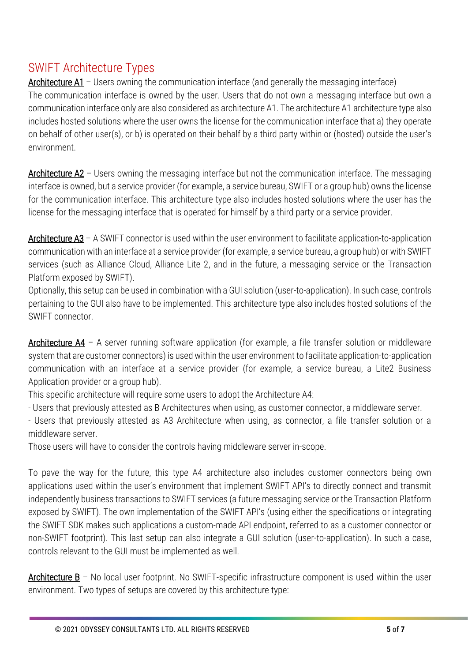#### <span id="page-4-0"></span>SWIFT Architecture Types

Architecture A1 – Users owning the communication interface (and generally the messaging interface) The communication interface is owned by the user. Users that do not own a messaging interface but own a communication interface only are also considered as architecture A1. The architecture A1 architecture type also includes hosted solutions where the user owns the license for the communication interface that a) they operate on behalf of other user(s), or b) is operated on their behalf by a third party within or (hosted) outside the user's environment.

Architecture  $A2$  – Users owning the messaging interface but not the communication interface. The messaging interface is owned, but a service provider (for example, a service bureau, SWIFT or a group hub) owns the license for the communication interface. This architecture type also includes hosted solutions where the user has the license for the messaging interface that is operated for himself by a third party or a service provider.

Architecture  $A3 - A$  SWIFT connector is used within the user environment to facilitate application-to-application communication with an interface at a service provider (for example, a service bureau, a group hub) or with SWIFT services (such as Alliance Cloud, Alliance Lite 2, and in the future, a messaging service or the Transaction Platform exposed by SWIFT).

Optionally, this setup can be used in combination with a GUI solution (user-to-application). In such case, controls pertaining to the GUI also have to be implemented. This architecture type also includes hosted solutions of the SWIFT connector.

Architecture  $AA - A$  server running software application (for example, a file transfer solution or middleware system that are customer connectors) is used within the user environment to facilitate application-to-application communication with an interface at a service provider (for example, a service bureau, a Lite2 Business Application provider or a group hub).

This specific architecture will require some users to adopt the Architecture A4:

- Users that previously attested as B Architectures when using, as customer connector, a middleware server.

- Users that previously attested as A3 Architecture when using, as connector, a file transfer solution or a middleware server.

Those users will have to consider the controls having middleware server in-scope.

To pave the way for the future, this type A4 architecture also includes customer connectors being own applications used within the user's environment that implement SWIFT API's to directly connect and transmit independently business transactions to SWIFT services (a future messaging service or the Transaction Platform exposed by SWIFT). The own implementation of the SWIFT API's (using either the specifications or integrating the SWIFT SDK makes such applications a custom-made API endpoint, referred to as a customer connector or non-SWIFT footprint). This last setup can also integrate a GUI solution (user-to-application). In such a case, controls relevant to the GUI must be implemented as well.

Architecture  $B -$  No local user footprint. No SWIFT-specific infrastructure component is used within the user environment. Two types of setups are covered by this architecture type: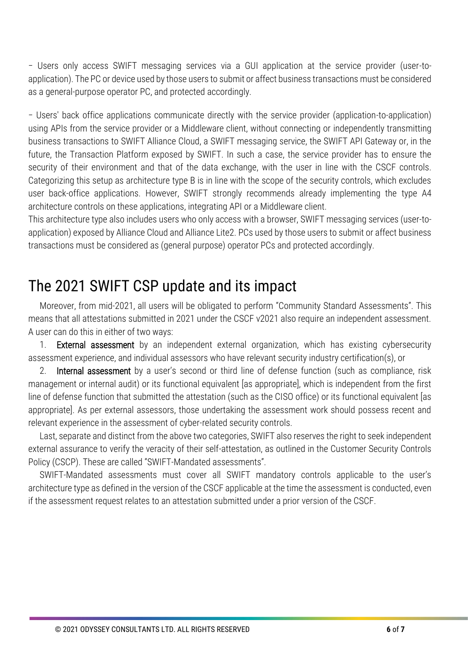− Users only access SWIFT messaging services via a GUI application at the service provider (user-toapplication). The PC or device used by those users to submit or affect business transactions must be considered as a general-purpose operator PC, and protected accordingly.

− Users' back office applications communicate directly with the service provider (application-to-application) using APIs from the service provider or a Middleware client, without connecting or independently transmitting business transactions to SWIFT Alliance Cloud, a SWIFT messaging service, the SWIFT API Gateway or, in the future, the Transaction Platform exposed by SWIFT. In such a case, the service provider has to ensure the security of their environment and that of the data exchange, with the user in line with the CSCF controls. Categorizing this setup as architecture type B is in line with the scope of the security controls, which excludes user back-office applications. However, SWIFT strongly recommends already implementing the type A4 architecture controls on these applications, integrating API or a Middleware client.

<span id="page-5-0"></span>This architecture type also includes users who only access with a browser, SWIFT messaging services (user-toapplication) exposed by Alliance Cloud and Alliance Lite2. PCs used by those users to submit or affect business transactions must be considered as (general purpose) operator PCs and protected accordingly.

#### The 2021 SWIFT CSP update and its impact

Moreover, from mid-2021, all users will be obligated to perform "Community Standard Assessments". This means that all attestations submitted in 2021 under the CSCF v2021 also require an independent assessment. A user can do this in either of two ways:

1. External assessment by an independent external organization, which has existing cybersecurity assessment experience, and individual assessors who have relevant security industry certification(s), or

2. Internal assessment by a user's second or third line of defense function (such as compliance, risk management or internal audit) or its functional equivalent [as appropriate], which is independent from the first line of defense function that submitted the attestation (such as the CISO office) or its functional equivalent [as appropriate]. As per external assessors, those undertaking the assessment work should possess recent and relevant experience in the assessment of cyber-related security controls.

Last, separate and distinct from the above two categories, SWIFT also reserves the right to seek independent external assurance to verify the veracity of their self-attestation, as outlined in the Customer Security Controls Policy (CSCP). These are called "SWIFT-Mandated assessments".

SWIFT-Mandated assessments must cover all SWIFT mandatory controls applicable to the user's architecture type as defined in the version of the CSCF applicable at the time the assessment is conducted, even if the assessment request relates to an attestation submitted under a prior version of the CSCF.